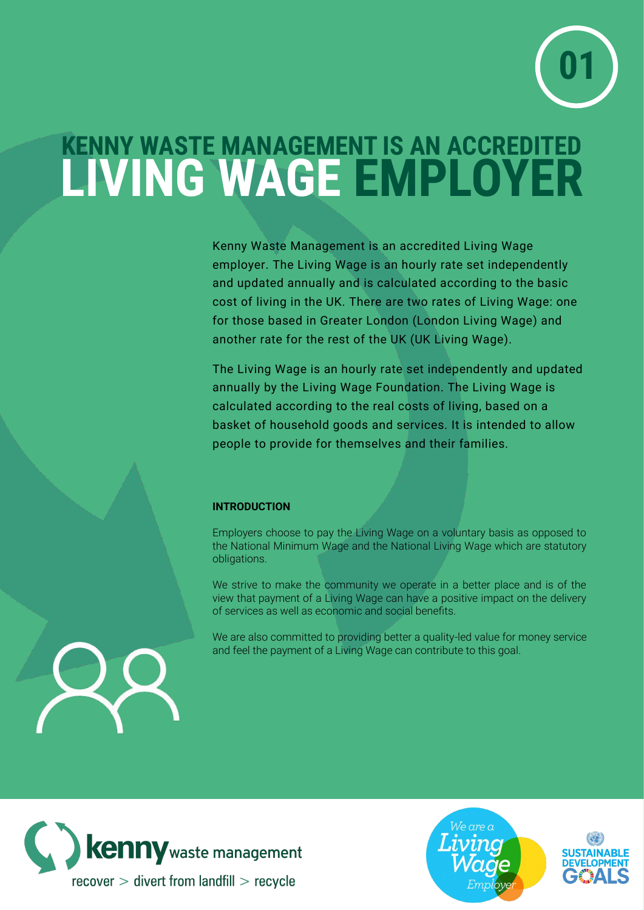

## **KENNY WASTE MANAGEMENT IS AN ACCREDITED LIVING WAGE EMPLOYER**

Kenny Waste Management is an accredited Living Wage employer. The Living Wage is an hourly rate set independently and updated annually and is calculated according to the basic cost of living in the UK. There are two rates of Living Wage: one for those based in Greater London (London Living Wage) and another rate for the rest of the UK (UK Living Wage).

The Living Wage is an hourly rate set independently and updated annually by the Living Wage Foundation. The Living Wage is calculated according to the real costs of living, based on a basket of household goods and services. It is intended to allow people to provide for themselves and their families.

## **INTRODUCTION**

Employers choose to pay the Living Wage on a voluntary basis as opposed to the National Minimum Wage and the National Living Wage which are statutory obligations.

We strive to make the community we operate in a better place and is of the view that payment of a Living Wage can have a positive impact on the delivery of services as well as economic and social benefits.

We are also committed to providing better a quality-led value for money service and feel the payment of a Living Wage can contribute to this goal.